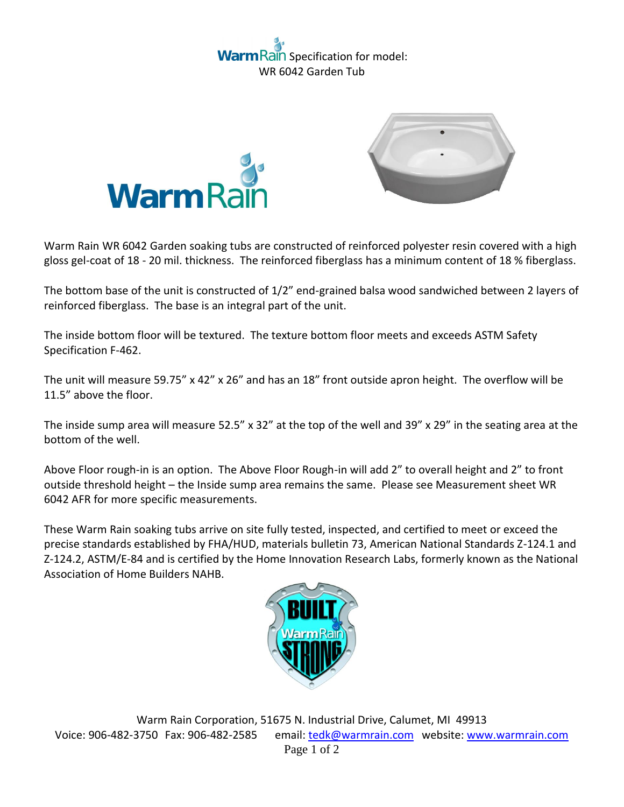## ain Specification for model: WR 6042 Garden Tub



Warm Rain WR 6042 Garden soaking tubs are constructed of reinforced polyester resin covered with a high gloss gel-coat of 18 - 20 mil. thickness. The reinforced fiberglass has a minimum content of 18 % fiberglass.

The bottom base of the unit is constructed of 1/2" end-grained balsa wood sandwiched between 2 layers of reinforced fiberglass. The base is an integral part of the unit.

The inside bottom floor will be textured. The texture bottom floor meets and exceeds ASTM Safety Specification F-462.

The unit will measure 59.75" x 42" x 26" and has an 18" front outside apron height. The overflow will be 11.5" above the floor.

The inside sump area will measure 52.5" x 32" at the top of the well and 39" x 29" in the seating area at the bottom of the well.

Above Floor rough-in is an option. The Above Floor Rough-in will add 2" to overall height and 2" to front outside threshold height – the Inside sump area remains the same. Please see Measurement sheet WR 6042 AFR for more specific measurements.

These Warm Rain soaking tubs arrive on site fully tested, inspected, and certified to meet or exceed the precise standards established by FHA/HUD, materials bulletin 73, American National Standards Z-124.1 and Z-124.2, ASTM/E-84 and is certified by the Home Innovation Research Labs, formerly known as the National Association of Home Builders NAHB.